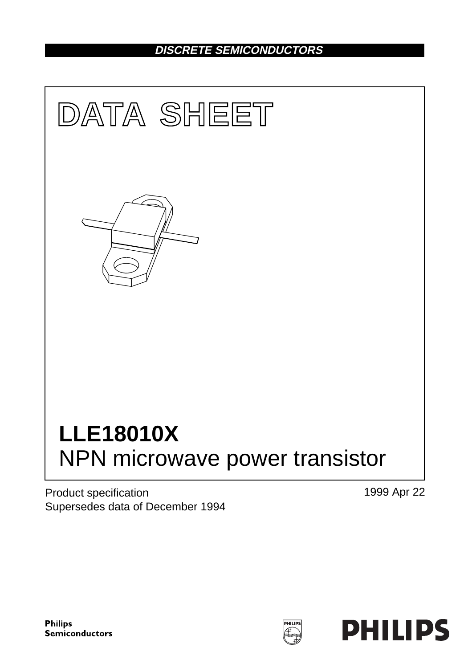## **DISCRETE SEMICONDUCTORS**



Product specification Supersedes data of December 1994 1999 Apr 22

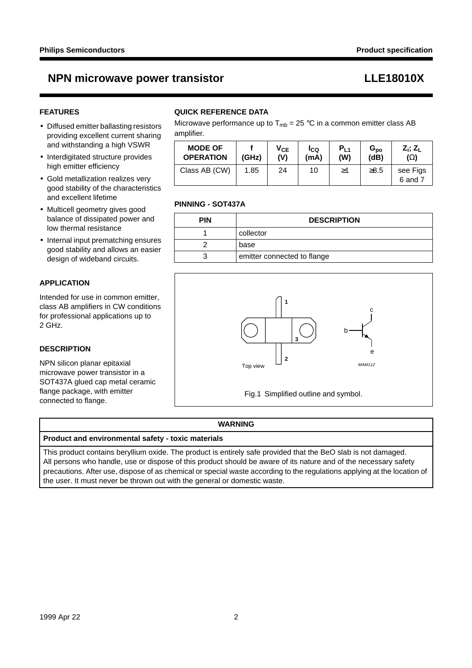## **NPN microwave power transistor LEE18010X**

### **FEATURES**

- Diffused emitter ballasting resistors providing excellent current sharing and withstanding a high VSWR
- Interdigitated structure provides high emitter efficiency
- Gold metallization realizes very good stability of the characteristics and excellent lifetime
- Multicell geometry gives good balance of dissipated power and low thermal resistance
- Internal input prematching ensures good stability and allows an easier design of wideband circuits.

### **APPLICATION**

Intended for use in common emitter, class AB amplifiers in CW conditions for professional applications up to 2 GHz.

### **DESCRIPTION**

NPN silicon planar epitaxial microwave power transistor in a SOT437A glued cap metal ceramic flange package, with emitter connected to flange.

### **QUICK REFERENCE DATA**

Microwave performance up to  $T_{mb} = 25 \degree C$  in a common emitter class AB amplifier.

| <b>MODE OF</b>   | (GHz) | Ѵсє | Ico  | $P_{L1}$ | $G_{\mathsf{po}}$ | $Z_i$ ; $Z_L$       |
|------------------|-------|-----|------|----------|-------------------|---------------------|
| <b>OPERATION</b> |       | (V) | (mA) | (W)      | (dB)              | $(\Omega)$          |
| Class AB (CW)    | 1.85  | 24  | 10   | ≥1       | $\geq 8.5$        | see Figs<br>6 and 7 |

### **PINNING - SOT437A**

| <b>PIN</b> | <b>DESCRIPTION</b>          |
|------------|-----------------------------|
|            | collector                   |
|            | base                        |
|            | emitter connected to flange |



### **WARNING**

### **Product and environmental safety - toxic materials**

This product contains beryllium oxide. The product is entirely safe provided that the BeO slab is not damaged. All persons who handle, use or dispose of this product should be aware of its nature and of the necessary safety precautions. After use, dispose of as chemical or special waste according to the regulations applying at the location of the user. It must never be thrown out with the general or domestic waste.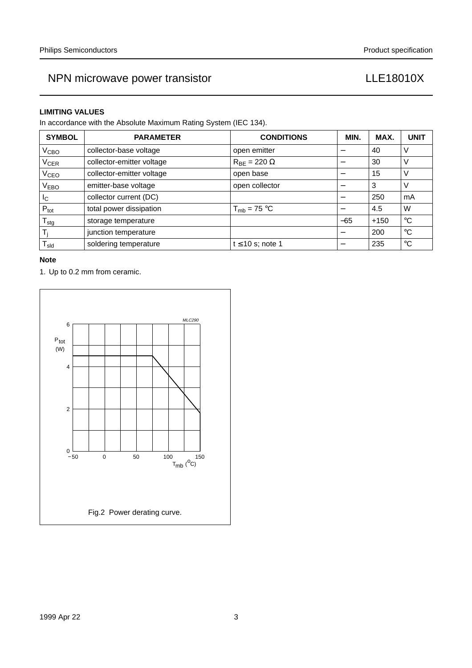### **LIMITING VALUES**

In accordance with the Absolute Maximum Rating System (IEC 134).

| <b>SYMBOL</b>                                   | <b>PARAMETER</b>          | <b>CONDITIONS</b>            | MIN.                     | MAX.   | <b>UNIT</b> |
|-------------------------------------------------|---------------------------|------------------------------|--------------------------|--------|-------------|
| V <sub>CBO</sub>                                | collector-base voltage    | open emitter                 |                          | 40     | V           |
| V <sub>CER</sub>                                | collector-emitter voltage | $R_{\text{RF}} = 220 \Omega$ | $\overline{\phantom{m}}$ | 30     | V           |
| <b>V<sub>CEO</sub></b>                          | collector-emitter voltage | open base                    |                          | 15     | $\vee$      |
| V <sub>EBO</sub>                                | emitter-base voltage      | open collector               |                          | 3      | V           |
| <sub>IC</sub>                                   | collector current (DC)    |                              |                          | 250    | mA          |
| $P_{\text{tot}}$                                | total power dissipation   | $T_{mb}$ = 75 °C             |                          | 4.5    | W           |
| ${\mathsf T}_{\text{stg}}$                      | storage temperature       |                              | $-65$                    | $+150$ | $^{\circ}C$ |
| Τi                                              | junction temperature      |                              |                          | 200    | $^{\circ}C$ |
| $\mathsf{T}_{\mathsf{s} \mathsf{l} \mathsf{d}}$ | soldering temperature     | $t \leq 10$ s; note 1        |                          | 235    | $^{\circ}C$ |

### **Note**

1. Up to 0.2 mm from ceramic.

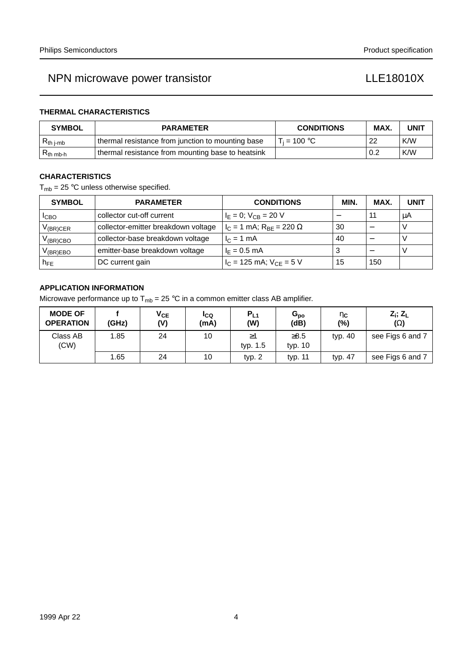### **THERMAL CHARACTERISTICS**

| <b>SYMBOL</b>         | <b>PARAMETER</b>                                  | <b>CONDITIONS</b> | MAX. | <b>UNIT</b> |
|-----------------------|---------------------------------------------------|-------------------|------|-------------|
| $R_{th\ j\text{-}mb}$ | thermal resistance from junction to mounting base | $T_i = 100 °C$    | 22   | K/W         |
| $R_{th mb-h}$         | thermal resistance from mounting base to heatsink |                   | 0.2  | K/W         |

### **CHARACTERISTICS**

 $T_{mb}$  = 25 °C unless otherwise specified.

| <b>SYMBOL</b>     | <b>PARAMETER</b>                    | <b>CONDITIONS</b>                   | <b>MIN</b> | MAX. | <b>UNIT</b> |
|-------------------|-------------------------------------|-------------------------------------|------------|------|-------------|
| <b>I</b> CBO      | collector cut-off current           | $I_E = 0$ ; $V_{CB} = 20$ V         |            |      | μA          |
| $V_{(BR)CER}$     | collector-emitter breakdown voltage | $I_C = 1$ mA; $R_{BE} = 220 \Omega$ | 30         |      |             |
| $V_{\rm (BR)CBO}$ | collector-base breakdown voltage    | $I_C = 1$ mA                        | 40         |      |             |
| $V_{(BR)EBO}$     | emitter-base breakdown voltage      | $I_F = 0.5$ mA                      |            |      |             |
| $h_{FE}$          | DC current gain                     | $I_C = 125$ mA; $V_{CE} = 5$ V      | 15         | 150  |             |

### **APPLICATION INFORMATION**

Microwave performance up to  $T_{mb} = 25 \degree C$  in a common emitter class AB amplifier.

| <b>MODE OF</b><br><b>OPERATION</b> | (GHz) | $V_{CE}$<br>(V) | IcQ<br>(mA) | $P_{L1}$<br>(W) | $G_{po}$<br>(dB)      | $\eta_{\mathbf{C}}$<br>(%) | $Z_i$ ; $Z_l$<br>$(\Omega)$ |
|------------------------------------|-------|-----------------|-------------|-----------------|-----------------------|----------------------------|-----------------------------|
| Class AB<br>(CW)                   | 1.85  | 24              | 10          | ≥1<br>typ. 1.5  | $\geq 8.5$<br>typ. 10 | typ. 40                    | see Figs 6 and 7            |
|                                    | 1.65  | 24              | 10          | typ. $2$        | typ. 11               | typ. 47                    | see Figs 6 and 7            |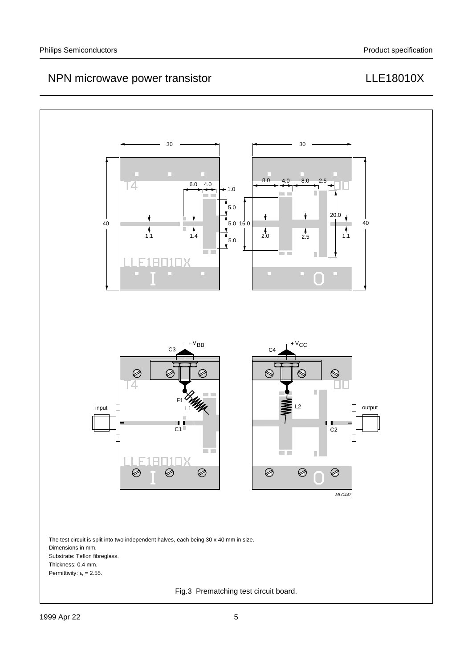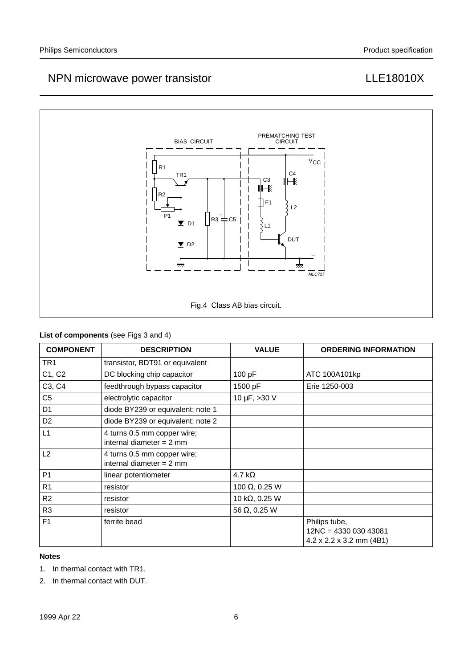

### **List of components** (see Figs 3 and 4)

| <b>COMPONENT</b> | <b>DESCRIPTION</b>                                        | <b>VALUE</b>           | <b>ORDERING INFORMATION</b>                                                    |
|------------------|-----------------------------------------------------------|------------------------|--------------------------------------------------------------------------------|
| TR1              | transistor, BDT91 or equivalent                           |                        |                                                                                |
| C1, C2           | DC blocking chip capacitor                                | 100 pF                 | ATC 100A101kp                                                                  |
| C3, C4           | feedthrough bypass capacitor                              | 1500 pF                | Erie 1250-003                                                                  |
| C <sub>5</sub>   | electrolytic capacitor                                    | 10 $\mu$ F, >30 V      |                                                                                |
| D <sub>1</sub>   | diode BY239 or equivalent; note 1                         |                        |                                                                                |
| D <sub>2</sub>   | diode BY239 or equivalent; note 2                         |                        |                                                                                |
| L1               | 4 turns 0.5 mm copper wire;<br>internal diameter $= 2$ mm |                        |                                                                                |
| L2               | 4 turns 0.5 mm copper wire;<br>internal diameter $= 2$ mm |                        |                                                                                |
| P <sub>1</sub>   | linear potentiometer                                      | 4.7 k $\Omega$         |                                                                                |
| R <sub>1</sub>   | resistor                                                  | 100 $\Omega$ , 0.25 W  |                                                                                |
| R <sub>2</sub>   | resistor                                                  | 10 k $\Omega$ , 0.25 W |                                                                                |
| R <sub>3</sub>   | resistor                                                  | 56 $\Omega$ , 0.25 W   |                                                                                |
| F <sub>1</sub>   | ferrite bead                                              |                        | Philips tube,<br>12NC = 4330 030 43081<br>$4.2 \times 2.2 \times 3.2$ mm (4B1) |

### **Notes**

- 1. In thermal contact with TR1.
- 2. In thermal contact with DUT.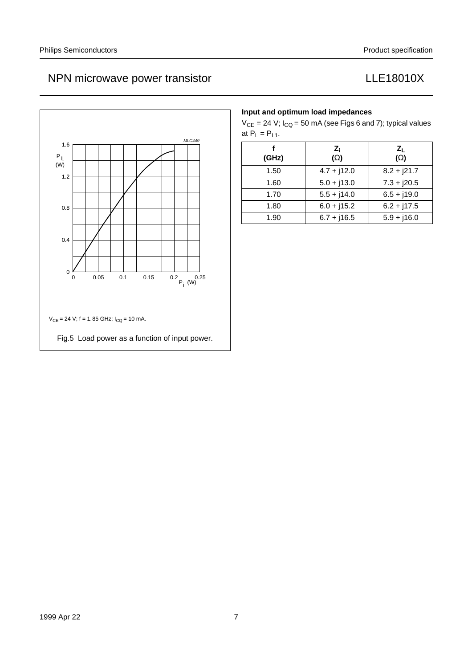

### **Input and optimum load impedances**

 $V_{CE}$  = 24 V;  $I_{CQ}$  = 50 mA (see Figs 6 and 7); typical values at  $P_L = P_{L1}$ .

| (GHz) | $Z_i$<br>$(\Omega)$ | $Z_L$<br>$(\Omega)$ |
|-------|---------------------|---------------------|
| 1.50  | $4.7 + j12.0$       | $8.2 + j21.7$       |
| 1.60  | $5.0 + j13.0$       | $7.3 + j20.5$       |
| 1.70  | $5.5 + j14.0$       | $6.5 + j19.0$       |
| 1.80  | $6.0 + j15.2$       | $6.2 + j17.5$       |
| 1.90  | $6.7 + j16.5$       | $5.9 + j16.0$       |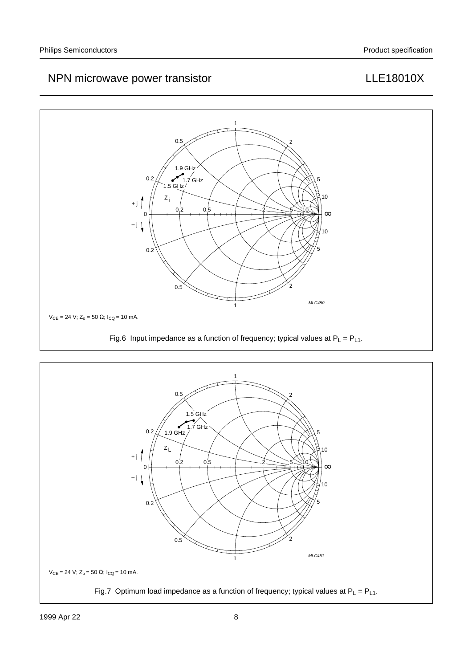

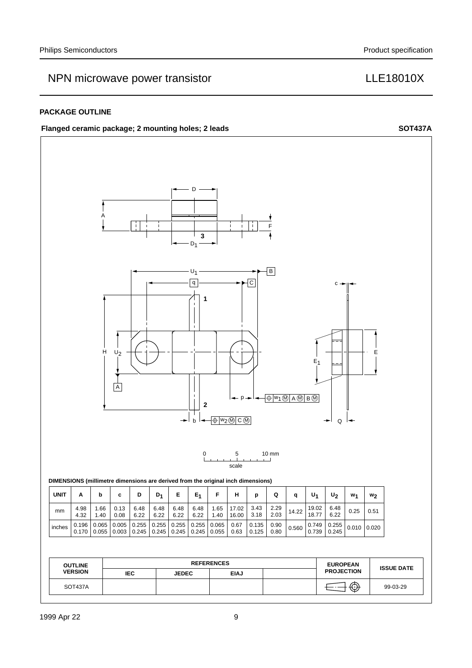## NPN microwave power transistor **LLE18010X**

### **PACKAGE OUTLINE**

### Flanged ceramic package; 2 mounting holes; 2 leads SOT437A

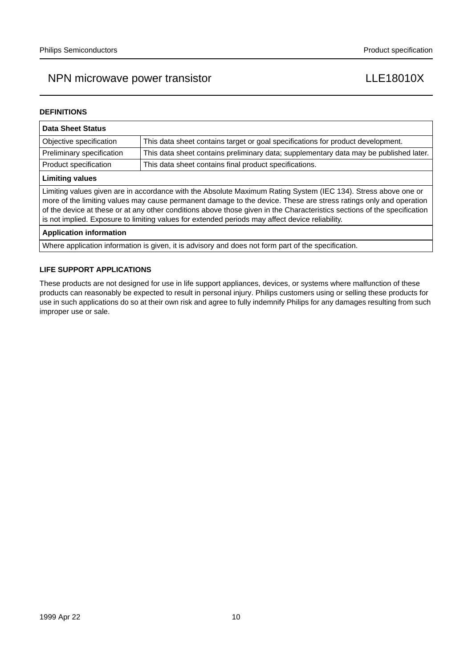### **DEFINITIONS**

| <b>Data Sheet Status</b>                                                                                                                                                                                                                                                                                                                                                                                                                                           |                                                                                       |  |  |  |
|--------------------------------------------------------------------------------------------------------------------------------------------------------------------------------------------------------------------------------------------------------------------------------------------------------------------------------------------------------------------------------------------------------------------------------------------------------------------|---------------------------------------------------------------------------------------|--|--|--|
| Objective specification                                                                                                                                                                                                                                                                                                                                                                                                                                            | This data sheet contains target or goal specifications for product development.       |  |  |  |
| Preliminary specification                                                                                                                                                                                                                                                                                                                                                                                                                                          | This data sheet contains preliminary data; supplementary data may be published later. |  |  |  |
| Product specification                                                                                                                                                                                                                                                                                                                                                                                                                                              | This data sheet contains final product specifications.                                |  |  |  |
| <b>Limiting values</b>                                                                                                                                                                                                                                                                                                                                                                                                                                             |                                                                                       |  |  |  |
| Limiting values given are in accordance with the Absolute Maximum Rating System (IEC 134). Stress above one or<br>more of the limiting values may cause permanent damage to the device. These are stress ratings only and operation<br>of the device at these or at any other conditions above those given in the Characteristics sections of the specification<br>is not implied. Exposure to limiting values for extended periods may affect device reliability. |                                                                                       |  |  |  |
| <b>Application information</b>                                                                                                                                                                                                                                                                                                                                                                                                                                     |                                                                                       |  |  |  |

Where application information is given, it is advisory and does not form part of the specification.

### **LIFE SUPPORT APPLICATIONS**

These products are not designed for use in life support appliances, devices, or systems where malfunction of these products can reasonably be expected to result in personal injury. Philips customers using or selling these products for use in such applications do so at their own risk and agree to fully indemnify Philips for any damages resulting from such improper use or sale.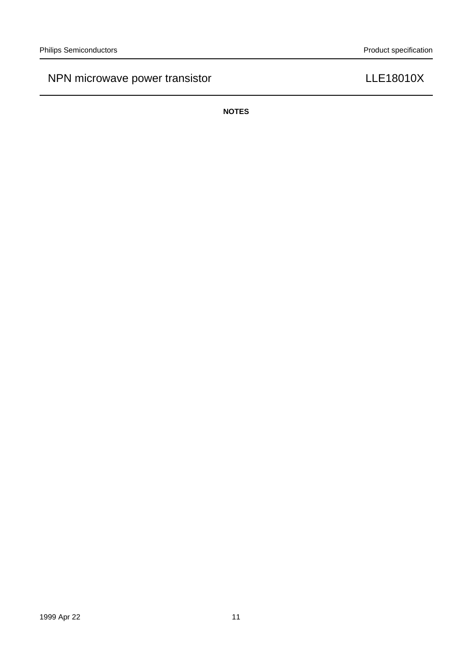**NOTES**